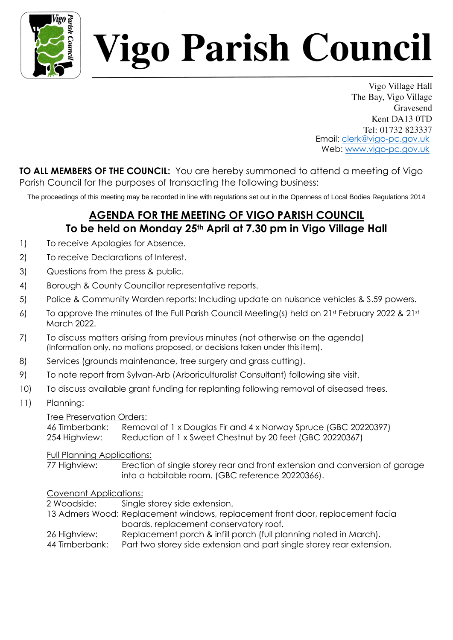

# *l*igo Parish Council

Vigo Village Hall The Bay, Vigo Village Gravesend Kent DA13 0TD Tel: 01732 823337 Email: clerk@vigo-pc.gov.uk Web: www.vigo-pc.gov.uk

**TO ALL MEMBERS OF THE COUNCIL:** You are hereby summoned to attend a meeting of Vigo Parish Council for the purposes of transacting the following business:

The proceedings of this meeting may be recorded in line with regulations set out in the Openness of Local Bodies Regulations 2014

## **AGENDA FOR THE MEETING OF VIGO PARISH COUNCIL To be held on Monday 25th April at 7.30 pm in Vigo Village Hall**

- 1) To receive Apologies for Absence.
- 2) To receive Declarations of Interest.
- 3) Questions from the press & public.
- 4) Borough & County Councillor representative reports.
- 5) Police & Community Warden reports: Including update on nuisance vehicles & S.59 powers.
- 6) To approve the minutes of the Full Parish Council Meeting(s) held on  $21^{st}$  February 2022 &  $21^{st}$ March 2022.
- 7) To discuss matters arising from previous minutes (not otherwise on the agenda) (Information only, no motions proposed, or decisions taken under this item).
- 8) Services (grounds maintenance, tree surgery and grass cutting).
- 9) To note report from Sylvan-Arb (Arboriculturalist Consultant) following site visit.
- 10) To discuss available grant funding for replanting following removal of diseased trees.
- 11) Planning:

#### Tree Preservation Orders:

46 Timberbank: Removal of 1 x Douglas Fir and 4 x Norway Spruce (GBC 20220397) 254 Highview: Reduction of 1 x Sweet Chestnut by 20 feet (GBC 20220367)

#### Full Planning Applications:

77 Highview: Erection of single storey rear and front extension and conversion of garage into a habitable room. (GBC reference 20220366).

### Covenant Applications:

2 Woodside: Single storey side extension.

- 13 Admers Wood: Replacement windows, replacement front door, replacement facia boards, replacement conservatory roof.
- 26 Highview: Replacement porch & infill porch (full planning noted in March).
- 44 Timberbank: Part two storey side extension and part single storey rear extension.